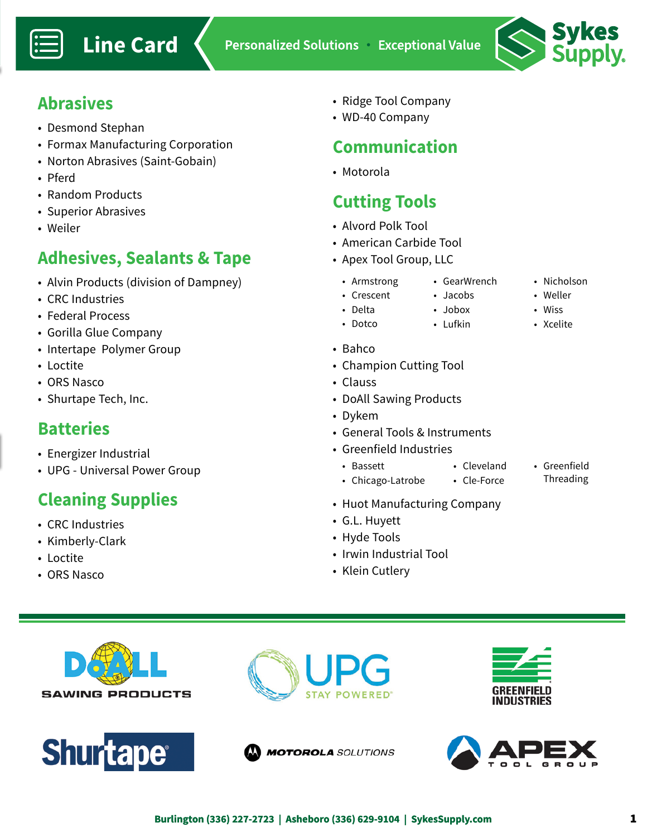

### **Abrasives**

- Desmond Stephan
- Formax Manufacturing Corporation
- Norton Abrasives (Saint-Gobain)
- Pferd
- Random Products
- Superior Abrasives
- Weiler

## **Adhesives, Sealants & Tape**

- Alvin Products (division of Dampney)
- CRC Industries
- Federal Process
- Gorilla Glue Company
- Intertape Polymer Group
- Loctite
- ORS Nasco
- Shurtape Tech, Inc.

#### **Batteries**

- Energizer Industrial
- UPG Universal Power Group

# **Cleaning Supplies**

- CRC Industries
- Kimberly-Clark
- Loctite
- ORS Nasco
- Ridge Tool Company
- WD-40 Company

## **Communication**

• Motorola

## **Cutting Tools**

- Alvord Polk Tool
- American Carbide Tool
- Apex Tool Group, LLC
	- Armstrong • GearWrench
	- Crescent
		- Jacobs • Jobox
		- Lufkin
			-

• Cleveland

• Bahco

• Delta • Dotco

- Champion Cutting Tool
- Clauss
- DoAll Sawing Products
- Dykem
- General Tools & Instruments
- Greenfield Industries
	- Bassett
	- Chicago-Latrobe • Cle-Force
- Greenfield Threading
- Huot Manufacturing Company
- G.L. Huyett
- Hyde Tools
- Irwin Industrial Tool
- Klein Cutlery











**MOTOROLA** SOLUTIONS

• Nicholson • Weller

> • Wiss • Xcelite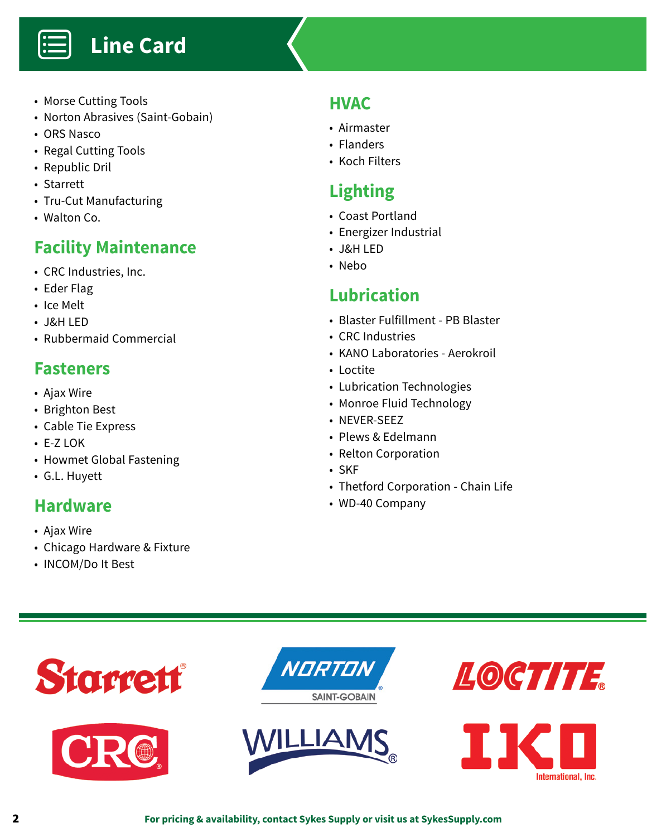

- Morse Cutting Tools
- Norton Abrasives (Saint-Gobain)
- ORS Nasco

Ë

- Regal Cutting Tools
- Republic Dril
- Starrett
- Tru-Cut Manufacturing
- Walton Co.

## **Facility Maintenance**

- CRC Industries, Inc.
- Eder Flag
- Ice Melt
- J&H LED
- Rubbermaid Commercial

### **Fasteners**

- Ajax Wire
- Brighton Best
- Cable Tie Express
- E-Z LOK
- Howmet Global Fastening
- G.L. Huyett

#### **Hardware**

- Ajax Wire
- Chicago Hardware & Fixture
- INCOM/Do It Best

#### **HVAC**

- Airmaster
- Flanders
- Koch Filters

# **Lighting**

- Coast Portland
- Energizer Industrial
- J&H LED
- Nebo

## **Lubrication**

- Blaster Fulfillment PB Blaster
- CRC Industries
- KANO Laboratories Aerokroil
- Loctite
- Lubrication Technologies
- Monroe Fluid Technology
- NEVER-SEEZ
- Plews & Edelmann
- Relton Corporation
- SKF
- Thetford Corporation Chain Life
- WD-40 Company

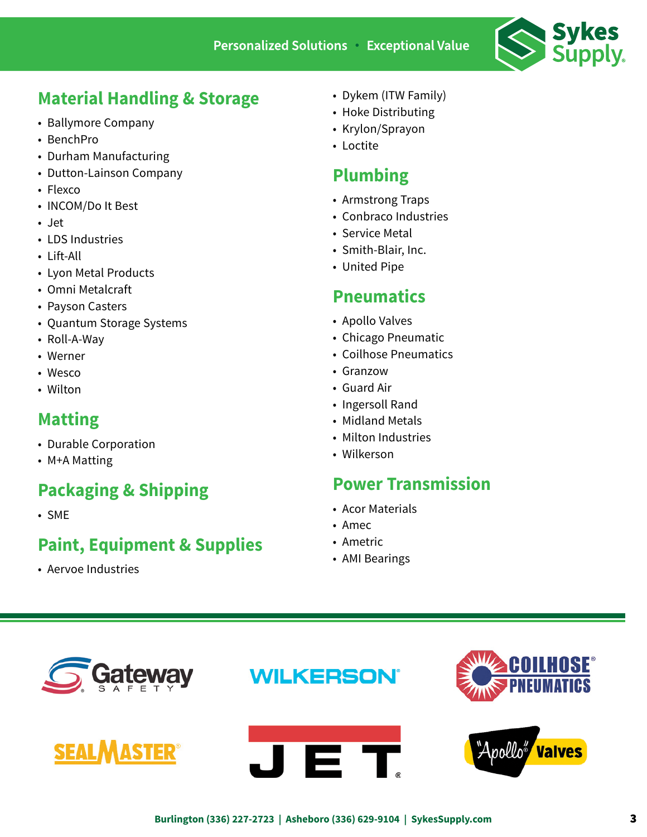

## **Material Handling & Storage**

- Ballymore Company
- BenchPro
- Durham Manufacturing
- Dutton-Lainson Company
- Flexco
- INCOM/Do It Best
- Jet
- LDS Industries
- Lift-All
- Lyon Metal Products
- Omni Metalcraft
- Payson Casters
- Quantum Storage Systems
- Roll-A-Way
- Werner
- Wesco
- Wilton

#### **Matting**

- Durable Corporation
- M+A Matting

## **Packaging & Shipping**

• SME

## **Paint, Equipment & Supplies**

• Aervoe Industries

- Dykem (ITW Family)
- Hoke Distributing
- Krylon/Sprayon
- Loctite

## **Plumbing**

- Armstrong Traps
- Conbraco Industries
- Service Metal
- Smith-Blair, Inc.
- United Pipe

#### **Pneumatics**

- Apollo Valves
- Chicago Pneumatic
- Coilhose Pneumatics
- Granzow
- Guard Air
- Ingersoll Rand
- Midland Metals
- Milton Industries
- Wilkerson

#### **Power Transmission**

- Acor Materials
- Amec
- Ametric
- AMI Bearings







**WILKERSON** 



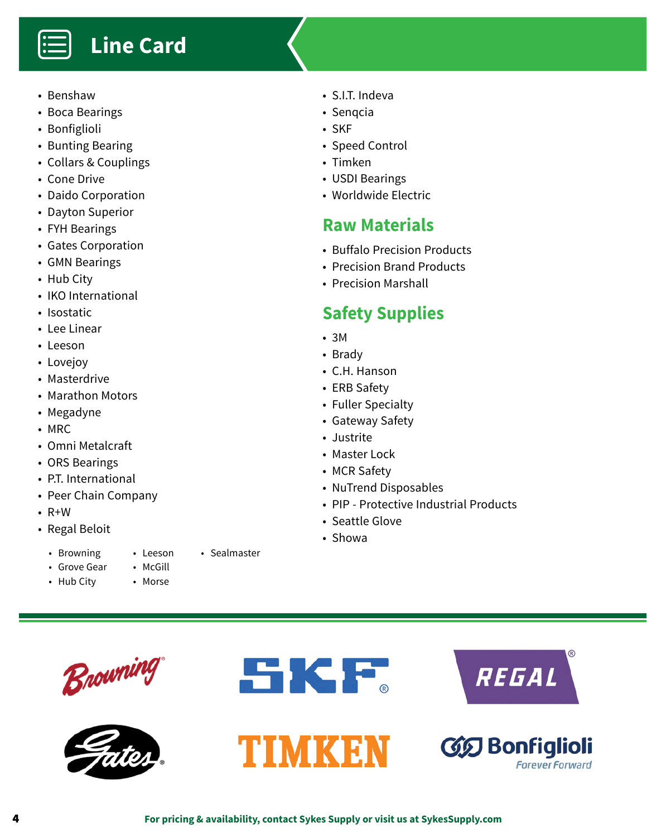# **Line Card**

• Benshaw

Ë

- Boca Bearings
- Bonfiglioli
- Bunting Bearing
- Collars & Couplings
- Cone Drive
- Daido Corporation
- Dayton Superior
- FYH Bearings
- Gates Corporation
- GMN Bearings
- Hub City
- IKO International
- Isostatic
- Lee Linear
- Leeson
- Lovejoy
- Masterdrive
- Marathon Motors
- Megadyne
- MRC
- Omni Metalcraft
- ORS Bearings
- P.T. International
- Peer Chain Company
- R+W
- Regal Beloit
	- Browning • Grove Gear
- Leeson • McGill
- Hub City
- Morse

• Sealmaster

- S.I.T. Indeva
- Senqcia
- SKF
- Speed Control
- Timken
- USDI Bearings
- Worldwide Electric

#### **Raw Materials**

- Buffalo Precision Products
- Precision Brand Products
- Precision Marshall

## **Safety Supplies**

- 3M
- Brady
- C.H. Hanson
- ERB Safety
- Fuller Specialty
- Gateway Safety
- Justrite
- Master Lock
- MCR Safety
- NuTrend Disposables
- PIP Protective Industrial Products
- Seattle Glove
- Showa